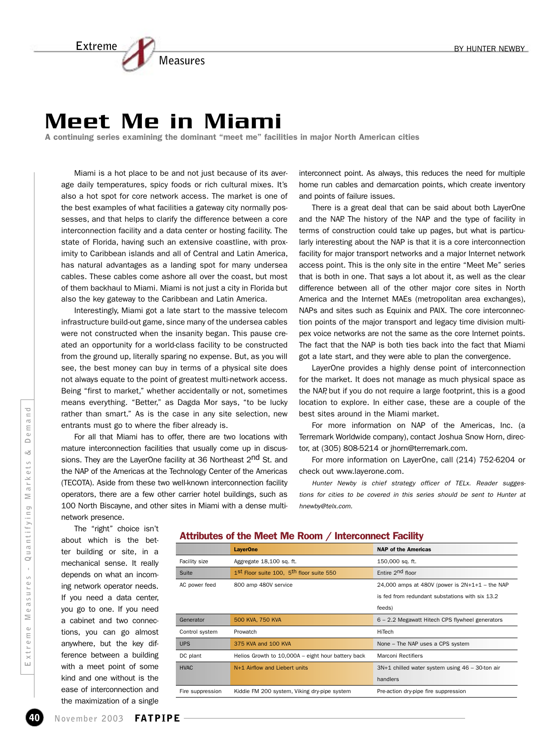# **Extreme Measures**

# Meet Me in Miami

A continuing series examining the dominant "meet me" facilities in major North American cities

Miami is a hot place to be and not just because of its average daily temperatures, spicy foods or rich cultural mixes. It's also a hot spot for core network access. The market is one of the best examples of what facilities a gateway city normally possesses, and that helps to clarify the difference between a core interconnection facility and a data center or hosting facility. The state of Florida, having such an extensive coastline, with proximity to Caribbean islands and all of Central and Latin America, has natural advantages as a landing spot for many undersea cables. These cables come ashore all over the coast, but most of them backhaul to Miami. Miami is not just a city in Florida but also the key gateway to the Caribbean and Latin America.

Interestingly, Miami got a late start to the massive telecom infrastructure build-out game, since many of the undersea cables were not constructed when the insanity began. This pause created an opportunity for a world-class facility to be constructed from the ground up, literally sparing no expense. But, as you will see, the best money can buy in terms of a physical site does not always equate to the point of greatest multi-network access. Being "first to market," whether accidentally or not, sometimes means everything. "Better," as Dagda Mor says, "to be lucky rather than smart." As is the case in any site selection, new entrants must go to where the fiber already is.

For all that Miami has to offer, there are two locations with mature interconnection facilities that usually come up in discussions. They are the LayerOne facility at 36 Northeast 2<sup>nd</sup> St. and the NAP of the Americas at the Technology Center of the Americas (TECOTA). Aside from these two well-known interconnection facility operators, there are a few other carrier hotel buildings, such as 100 North Biscayne, and other sites in Miami with a dense multinetwork presence.

interconnect point. As always, this reduces the need for multiple home run cables and demarcation points, which create inventory and points of failure issues.

There is a great deal that can be said about both LayerOne and the NAP. The history of the NAP and the type of facility in terms of construction could take up pages, but what is particularly interesting about the NAP is that it is a core interconnection facility for major transport networks and a major Internet network access point. This is the only site in the entire "Meet Me" series that is both in one. That says a lot about it, as well as the clear difference between all of the other major core sites in North America and the Internet MAEs (metropolitan area exchanges), NAPs and sites such as Equinix and PAIX. The core interconnection points of the major transport and legacy time division multipex voice networks are not the same as the core Internet points. The fact that the NAP is both ties back into the fact that Miami got a late start, and they were able to plan the convergence.

LayerOne provides a highly dense point of interconnection for the market. It does not manage as much physical space as the NAP, but if you do not require a large footprint, this is a good location to explore. In either case, these are a couple of the best sites around in the Miami market.

For more information on NAP of the Americas, Inc. (a Terremark Worldwide company), contact Joshua Snow Horn, director, at (305) 808-5214 or jhorn@terremark.com.

For more information on LayerOne, call (214) 752-6204 or check out www.layerone.com.

Hunter Newby is chief strategy officer of TELx. Reader suggestions for cities to be covered in this series should be sent to Hunter at hnewby@telx.com.

The "right" choice isn't about which is the better building or site, in a mechanical sense. It really depends on what an incoming network operator needs. If you need a data center, you go to one. If you need a cabinet and two connections, you can go almost anywhere, but the key dif-

ference between a building with a meet point of some kind and one without is the ease of interconnection and the maximization of a single

Attributes of the Meet Me Room / Interconnect Facility

|                  | <b>LayerOne</b>                                      | <b>NAP of the Americas</b>                       |
|------------------|------------------------------------------------------|--------------------------------------------------|
| Facility size    | Aggregate 18,100 sq. ft.                             | 150,000 sq. ft.                                  |
| Suite            | 1st Floor suite 100. 5 <sup>th</sup> floor suite 550 | Entire 2 <sup>nd</sup> floor                     |
| AC power feed    | 800 amp 480V service                                 | 24,000 amps at 480V (power is $2N+1+1$ – the NAP |
|                  |                                                      | is fed from redundant substations with six 13.2  |
|                  |                                                      | feeds)                                           |
| Generator        | 500 KVA, 750 KVA                                     | 6 - 2.2 Megawatt Hitech CPS flywheel generators  |
| Control system   | Prowatch                                             | HiTech                                           |
| <b>UPS</b>       | 375 KVA and 100 KVA                                  | None - The NAP uses a CPS system                 |
| DC plant         | Helios Growth to 10,000A – eight hour battery back   | Marconi Rectifiers                               |
| <b>HVAC</b>      | N+1 Airflow and Liebert units                        | 3N+1 chilled water system using 46 - 30-ton air  |
|                  |                                                      | handlers                                         |
| Fire suppression | Kiddie FM 200 system, Viking dry-pipe system         | Pre-action dry-pipe fire suppression             |
|                  |                                                      |                                                  |

**November 2003** FATPIPE